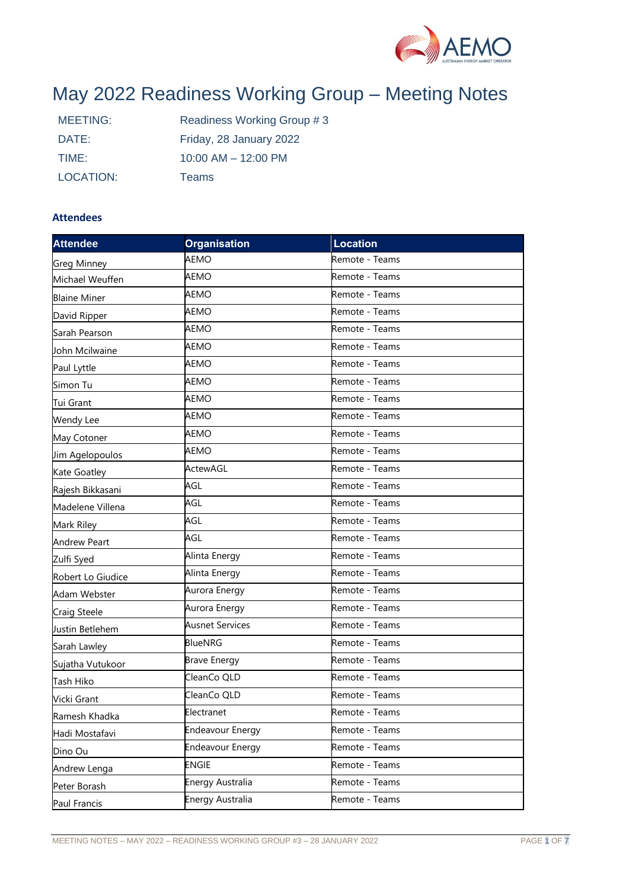

# May 2022 Readiness Working Group – Meeting Notes

| MEETING:  | Readiness Working Group #3 |
|-----------|----------------------------|
| DATE:     | Friday, 28 January 2022    |
| TIME:     | $10:00$ AM $- 12:00$ PM    |
| LOCATION: | Teams                      |

## **Attendees**

| <b>Attendee</b>     | <b>Organisation</b>     | <b>Location</b> |  |
|---------------------|-------------------------|-----------------|--|
| <b>Greg Minney</b>  | AEMO                    | Remote - Teams  |  |
| Michael Weuffen     | AEMO                    | Remote - Teams  |  |
| <b>Blaine Miner</b> | AEMO                    | Remote - Teams  |  |
| David Ripper        | AEMO                    | Remote - Teams  |  |
| Sarah Pearson       | AEMO                    | Remote - Teams  |  |
| John Mcilwaine      | <b>AEMO</b>             | Remote - Teams  |  |
| Paul Lyttle         | AEMO                    | Remote - Teams  |  |
| Simon Tu            | <b>AEMO</b>             | Remote - Teams  |  |
| Tui Grant           | AEMO                    | Remote - Teams  |  |
| Wendy Lee           | AEMO                    | Remote - Teams  |  |
| May Cotoner         | AEMO                    | Remote - Teams  |  |
| Jim Agelopoulos     | AEMO                    | Remote - Teams  |  |
| Kate Goatley        | ActewAGL                | Remote - Teams  |  |
| Rajesh Bikkasani    | AGL                     | Remote - Teams  |  |
| Madelene Villena    | AGL                     | Remote - Teams  |  |
| Mark Riley          | AGL                     | Remote - Teams  |  |
| <b>Andrew Peart</b> | AGL                     | Remote - Teams  |  |
| Zulfi Syed          | Alinta Energy           | Remote - Teams  |  |
| Robert Lo Giudice   | Alinta Energy           | Remote - Teams  |  |
| Adam Webster        | Aurora Energy           | Remote - Teams  |  |
| Craig Steele        | Aurora Energy           | Remote - Teams  |  |
| Justin Betlehem     | <b>Ausnet Services</b>  | Remote - Teams  |  |
| Sarah Lawley        | <b>BlueNRG</b>          | Remote - Teams  |  |
| Sujatha Vutukoor    | <b>Brave Energy</b>     | Remote - Teams  |  |
| Tash Hiko           | CleanCo QLD             | Remote - Teams  |  |
| Vicki Grant         | CleanCo QLD             | Remote - Teams  |  |
| Ramesh Khadka       | Electranet              | Remote - Teams  |  |
| Hadi Mostafavi      | <b>Endeavour Energy</b> | Remote - Teams  |  |
| Dino Ou             | <b>Endeavour Energy</b> | Remote - Teams  |  |
| Andrew Lenga        | <b>ENGIE</b>            | Remote - Teams  |  |
| Peter Borash        | Energy Australia        | Remote - Teams  |  |
| Paul Francis        | Energy Australia        | Remote - Teams  |  |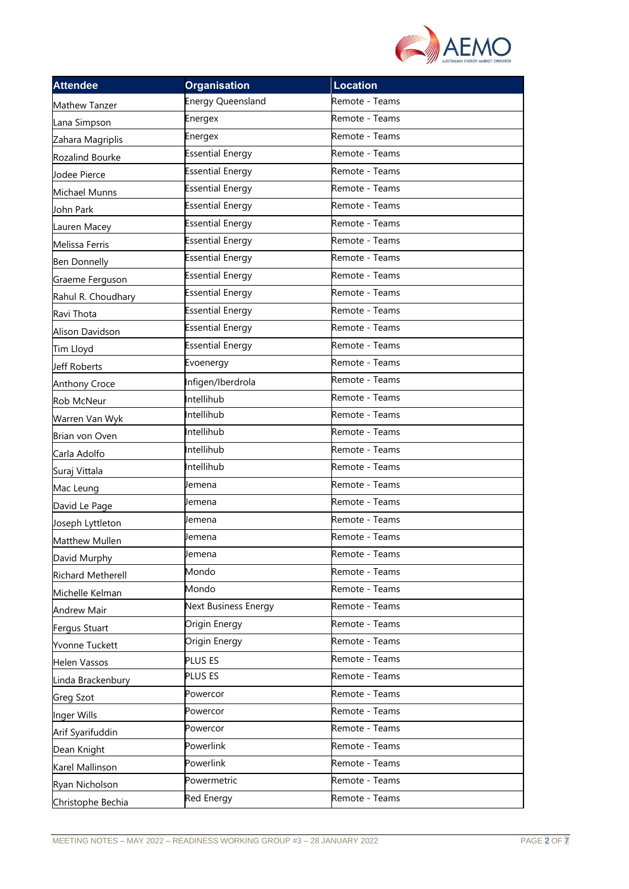

| <b>Attendee</b>          | <b>Organisation</b>         | <b>Location</b> |  |
|--------------------------|-----------------------------|-----------------|--|
| Mathew Tanzer            | <b>Energy Queensland</b>    | Remote - Teams  |  |
| Lana Simpson             | Energex                     | Remote - Teams  |  |
| Zahara Magriplis         | Energex                     | Remote - Teams  |  |
| Rozalind Bourke          | <b>Essential Energy</b>     | Remote - Teams  |  |
| Jodee Pierce             | <b>Essential Energy</b>     | Remote - Teams  |  |
| Michael Munns            | <b>Essential Energy</b>     | Remote - Teams  |  |
| John Park                | <b>Essential Energy</b>     | Remote - Teams  |  |
| Lauren Macey             | <b>Essential Energy</b>     | Remote - Teams  |  |
| Melissa Ferris           | <b>Essential Energy</b>     | Remote - Teams  |  |
| <b>Ben Donnelly</b>      | <b>Essential Energy</b>     | Remote - Teams  |  |
| Graeme Ferguson          | <b>Essential Energy</b>     | Remote - Teams  |  |
| Rahul R. Choudhary       | <b>Essential Energy</b>     | Remote - Teams  |  |
| Ravi Thota               | <b>Essential Energy</b>     | Remote - Teams  |  |
| Alison Davidson          | <b>Essential Energy</b>     | Remote - Teams  |  |
| Tim Lloyd                | <b>Essential Energy</b>     | Remote - Teams  |  |
| Jeff Roberts             | Evoenergy                   | Remote - Teams  |  |
| <b>Anthony Croce</b>     | Infigen/Iberdrola           | Remote - Teams  |  |
| Rob McNeur               | Intellihub                  | Remote - Teams  |  |
| Warren Van Wyk           | Intellihub                  | Remote - Teams  |  |
| Brian von Oven           | Intellihub                  | Remote - Teams  |  |
| Carla Adolfo             | Intellihub                  | Remote - Teams  |  |
| Suraj Vittala            | Intellihub                  | Remote - Teams  |  |
| Mac Leung                | Jemena                      | Remote - Teams  |  |
| David Le Page            | Jemena                      | Remote - Teams  |  |
| Joseph Lyttleton         | Jemena                      | Remote - Teams  |  |
| Matthew Mullen           | Jemena                      | Remote - Teams  |  |
| David Murphy             | Jemena                      | Remote - Teams  |  |
| <b>Richard Metherell</b> | Mondo                       | Remote - Teams  |  |
| Michelle Kelman          | Mondo                       | Remote - Teams  |  |
| <b>Andrew Mair</b>       | <b>Next Business Energy</b> | Remote - Teams  |  |
| Fergus Stuart            | Origin Energy               | Remote - Teams  |  |
| Yvonne Tuckett           | Origin Energy               | Remote - Teams  |  |
| <b>Helen Vassos</b>      | PLUS ES                     | Remote - Teams  |  |
| Linda Brackenbury        | PLUS ES                     | Remote - Teams  |  |
| <b>Greg Szot</b>         | Powercor                    | Remote - Teams  |  |
| Inger Wills              | Powercor                    | Remote - Teams  |  |
| Arif Syarifuddin         | Powercor                    | Remote - Teams  |  |
| Dean Knight              | Powerlink                   | Remote - Teams  |  |
| Karel Mallinson          | Powerlink                   | Remote - Teams  |  |
| Ryan Nicholson           | Powermetric                 | Remote - Teams  |  |
| Christophe Bechia        | <b>Red Energy</b>           | Remote - Teams  |  |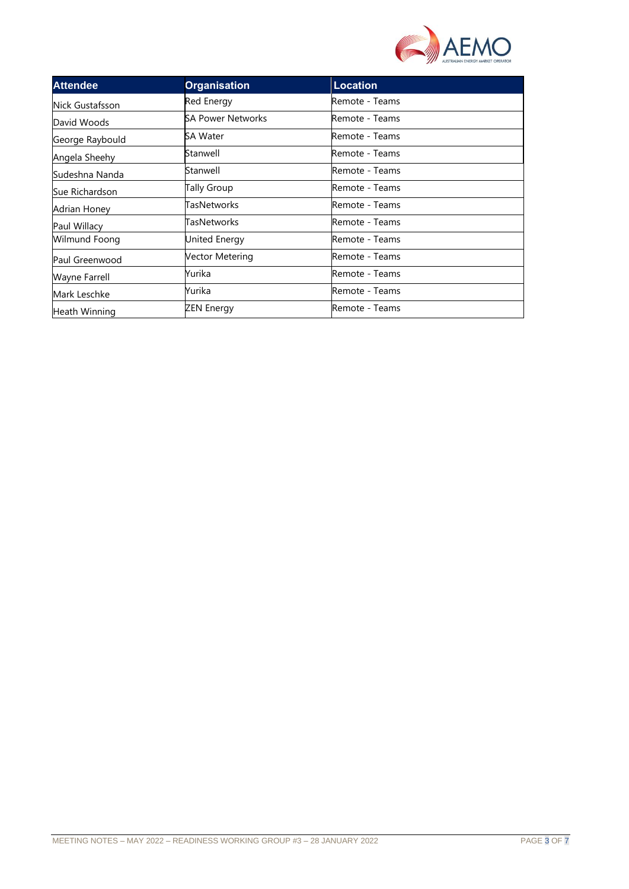

| <b>Attendee</b> | <b>Organisation</b>      | <b>Location</b> |
|-----------------|--------------------------|-----------------|
| Nick Gustafsson | <b>Red Energy</b>        | Remote - Teams  |
| David Woods     | <b>SA Power Networks</b> | Remote - Teams  |
| George Raybould | SA Water                 | Remote - Teams  |
| Angela Sheehy   | Stanwell                 | Remote - Teams  |
| Sudeshna Nanda  | Stanwell                 | Remote - Teams  |
| Sue Richardson  | Tally Group              | Remote - Teams  |
| Adrian Honey    | TasNetworks              | Remote - Teams  |
| Paul Willacy    | TasNetworks              | Remote - Teams  |
| Wilmund Foong   | United Energy            | Remote - Teams  |
| Paul Greenwood  | Vector Metering          | Remote - Teams  |
| Wayne Farrell   | Yurika                   | Remote - Teams  |
| Mark Leschke    | Yurika                   | Remote - Teams  |
| Heath Winning   | ZEN Energy               | Remote - Teams  |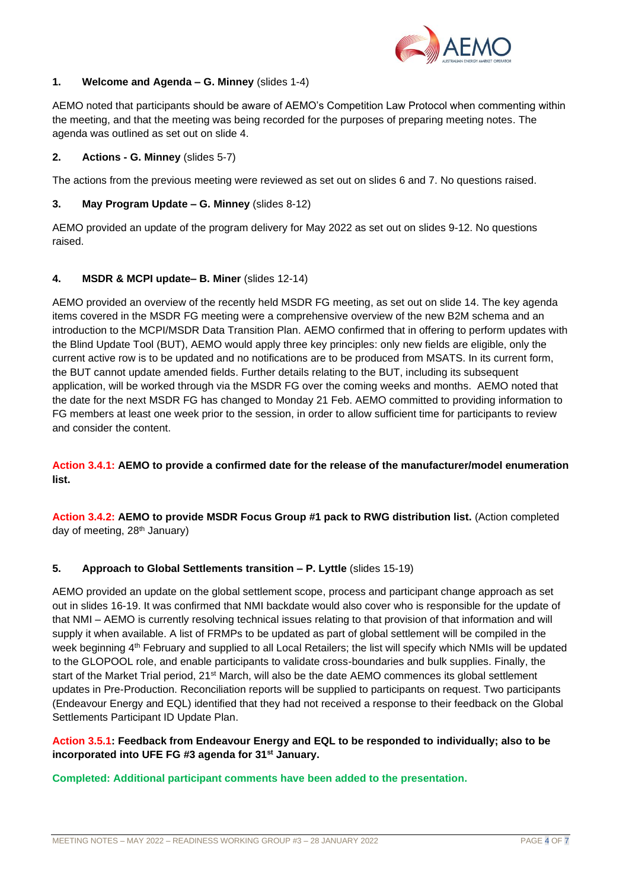

## **1. Welcome and Agenda – G. Minney** (slides 1-4)

AEMO noted that participants should be aware of AEMO's Competition Law Protocol when commenting within the meeting, and that the meeting was being recorded for the purposes of preparing meeting notes. The agenda was outlined as set out on slide 4.

## **2. Actions - G. Minney** (slides 5-7)

The actions from the previous meeting were reviewed as set out on slides 6 and 7. No questions raised.

## **3. May Program Update – G. Minney** (slides 8-12)

AEMO provided an update of the program delivery for May 2022 as set out on slides 9-12. No questions raised.

## **4. MSDR & MCPI update– B. Miner** (slides 12-14)

AEMO provided an overview of the recently held MSDR FG meeting, as set out on slide 14. The key agenda items covered in the MSDR FG meeting were a comprehensive overview of the new B2M schema and an introduction to the MCPI/MSDR Data Transition Plan. AEMO confirmed that in offering to perform updates with the Blind Update Tool (BUT), AEMO would apply three key principles: only new fields are eligible, only the current active row is to be updated and no notifications are to be produced from MSATS. In its current form, the BUT cannot update amended fields. Further details relating to the BUT, including its subsequent application, will be worked through via the MSDR FG over the coming weeks and months. AEMO noted that the date for the next MSDR FG has changed to Monday 21 Feb. AEMO committed to providing information to FG members at least one week prior to the session, in order to allow sufficient time for participants to review and consider the content.

**Action 3.4.1: AEMO to provide a confirmed date for the release of the manufacturer/model enumeration list.**

**Action 3.4.2: AEMO to provide MSDR Focus Group #1 pack to RWG distribution list.** (Action completed day of meeting, 28<sup>th</sup> January)

## **5. Approach to Global Settlements transition – P. Lyttle** (slides 15-19)

AEMO provided an update on the global settlement scope, process and participant change approach as set out in slides 16-19. It was confirmed that NMI backdate would also cover who is responsible for the update of that NMI – AEMO is currently resolving technical issues relating to that provision of that information and will supply it when available. A list of FRMPs to be updated as part of global settlement will be compiled in the week beginning 4<sup>th</sup> February and supplied to all Local Retailers; the list will specify which NMIs will be updated to the GLOPOOL role, and enable participants to validate cross-boundaries and bulk supplies. Finally, the start of the Market Trial period, 21<sup>st</sup> March, will also be the date AEMO commences its global settlement updates in Pre-Production. Reconciliation reports will be supplied to participants on request. Two participants (Endeavour Energy and EQL) identified that they had not received a response to their feedback on the Global Settlements Participant ID Update Plan.

## **Action 3.5.1: Feedback from Endeavour Energy and EQL to be responded to individually; also to be incorporated into UFE FG #3 agenda for 31st January.**

## **Completed: Additional participant comments have been added to the presentation.**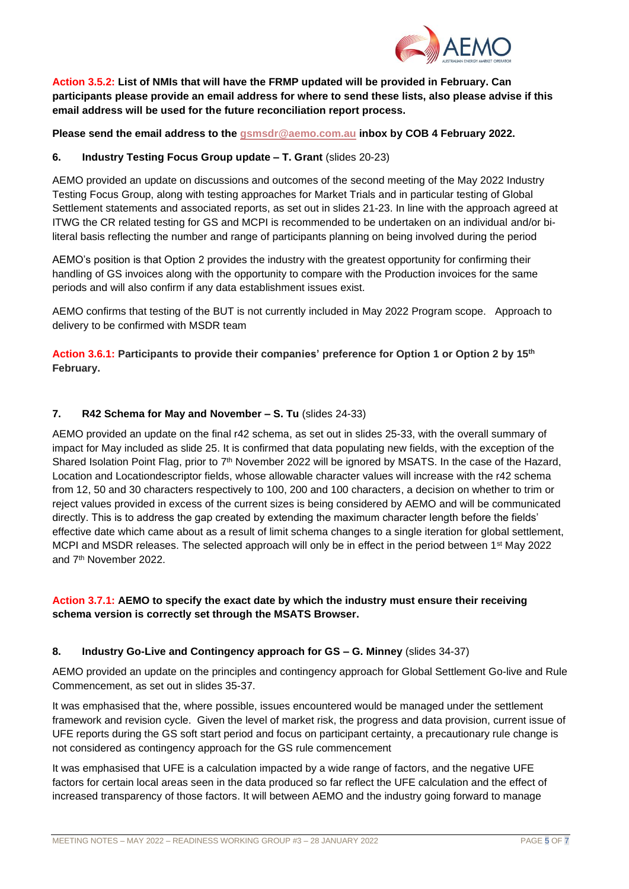

**Action 3.5.2: List of NMIs that will have the FRMP updated will be provided in February. Can participants please provide an email address for where to send these lists, also please advise if this email address will be used for the future reconciliation report process.**

**Please send the email address to the [gsmsdr@aemo.com.au](mailto:gsmsdr@aemo.com.au) inbox by COB 4 February 2022.**

## **6. Industry Testing Focus Group update – T. Grant** (slides 20-23)

AEMO provided an update on discussions and outcomes of the second meeting of the May 2022 Industry Testing Focus Group, along with testing approaches for Market Trials and in particular testing of Global Settlement statements and associated reports, as set out in slides 21-23. In line with the approach agreed at ITWG the CR related testing for GS and MCPI is recommended to be undertaken on an individual and/or biliteral basis reflecting the number and range of participants planning on being involved during the period

AEMO's position is that Option 2 provides the industry with the greatest opportunity for confirming their handling of GS invoices along with the opportunity to compare with the Production invoices for the same periods and will also confirm if any data establishment issues exist.

AEMO confirms that testing of the BUT is not currently included in May 2022 Program scope. Approach to delivery to be confirmed with MSDR team

**Action 3.6.1: Participants to provide their companies' preference for Option 1 or Option 2 by 15th February.**

## **7. R42 Schema for May and November – S. Tu** (slides 24-33)

AEMO provided an update on the final r42 schema, as set out in slides 25-33, with the overall summary of impact for May included as slide 25. It is confirmed that data populating new fields, with the exception of the Shared Isolation Point Flag, prior to 7<sup>th</sup> November 2022 will be ignored by MSATS. In the case of the Hazard, Location and Locationdescriptor fields, whose allowable character values will increase with the r42 schema from 12, 50 and 30 characters respectively to 100, 200 and 100 characters, a decision on whether to trim or reject values provided in excess of the current sizes is being considered by AEMO and will be communicated directly. This is to address the gap created by extending the maximum character length before the fields' effective date which came about as a result of limit schema changes to a single iteration for global settlement, MCPI and MSDR releases. The selected approach will only be in effect in the period between 1<sup>st</sup> May 2022 and 7th November 2022.

# **Action 3.7.1: AEMO to specify the exact date by which the industry must ensure their receiving schema version is correctly set through the MSATS Browser.**

## **8. Industry Go-Live and Contingency approach for GS – G. Minney** (slides 34-37)

AEMO provided an update on the principles and contingency approach for Global Settlement Go-live and Rule Commencement, as set out in slides 35-37.

It was emphasised that the, where possible, issues encountered would be managed under the settlement framework and revision cycle. Given the level of market risk, the progress and data provision, current issue of UFE reports during the GS soft start period and focus on participant certainty, a precautionary rule change is not considered as contingency approach for the GS rule commencement

It was emphasised that UFE is a calculation impacted by a wide range of factors, and the negative UFE factors for certain local areas seen in the data produced so far reflect the UFE calculation and the effect of increased transparency of those factors. It will between AEMO and the industry going forward to manage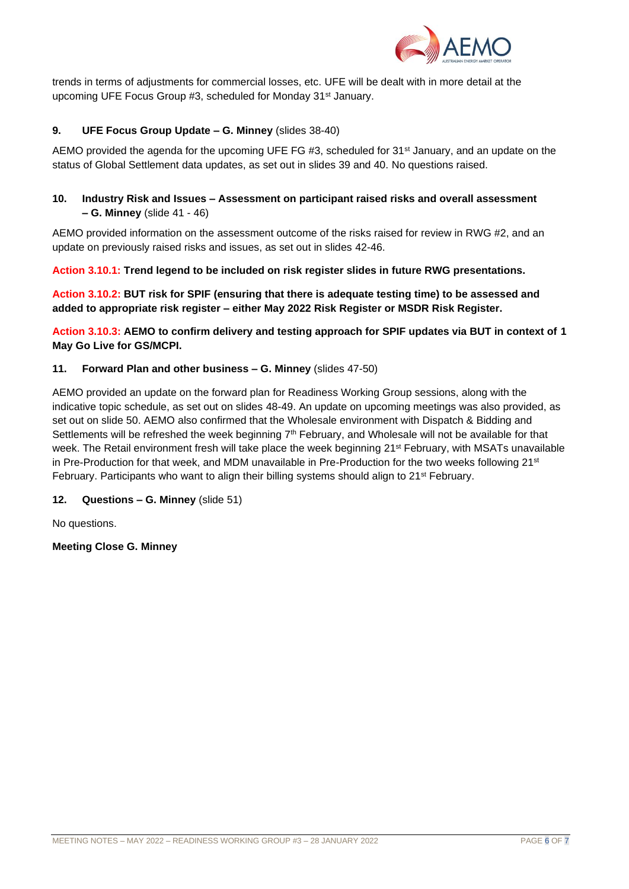

trends in terms of adjustments for commercial losses, etc. UFE will be dealt with in more detail at the upcoming UFE Focus Group #3, scheduled for Monday 31<sup>st</sup> January.

## **9. UFE Focus Group Update – G. Minney** (slides 38-40)

AEMO provided the agenda for the upcoming UFE FG #3, scheduled for  $31<sup>st</sup>$  January, and an update on the status of Global Settlement data updates, as set out in slides 39 and 40. No questions raised.

## **10. Industry Risk and Issues – Assessment on participant raised risks and overall assessment – G. Minney** (slide 41 - 46)

AEMO provided information on the assessment outcome of the risks raised for review in RWG #2, and an update on previously raised risks and issues, as set out in slides 42-46.

**Action 3.10.1: Trend legend to be included on risk register slides in future RWG presentations.**

**Action 3.10.2: BUT risk for SPIF (ensuring that there is adequate testing time) to be assessed and added to appropriate risk register – either May 2022 Risk Register or MSDR Risk Register.** 

**Action 3.10.3: AEMO to confirm delivery and testing approach for SPIF updates via BUT in context of 1 May Go Live for GS/MCPI.**

## **11. Forward Plan and other business – G. Minney** (slides 47-50)

AEMO provided an update on the forward plan for Readiness Working Group sessions, along with the indicative topic schedule, as set out on slides 48-49. An update on upcoming meetings was also provided, as set out on slide 50. AEMO also confirmed that the Wholesale environment with Dispatch & Bidding and Settlements will be refreshed the week beginning  $7<sup>th</sup>$  February, and Wholesale will not be available for that week. The Retail environment fresh will take place the week beginning 21st February, with MSATs unavailable in Pre-Production for that week, and MDM unavailable in Pre-Production for the two weeks following 21st February. Participants who want to align their billing systems should align to  $21^{st}$  February.

## **12. Questions – G. Minney** (slide 51)

No questions.

**Meeting Close G. Minney**